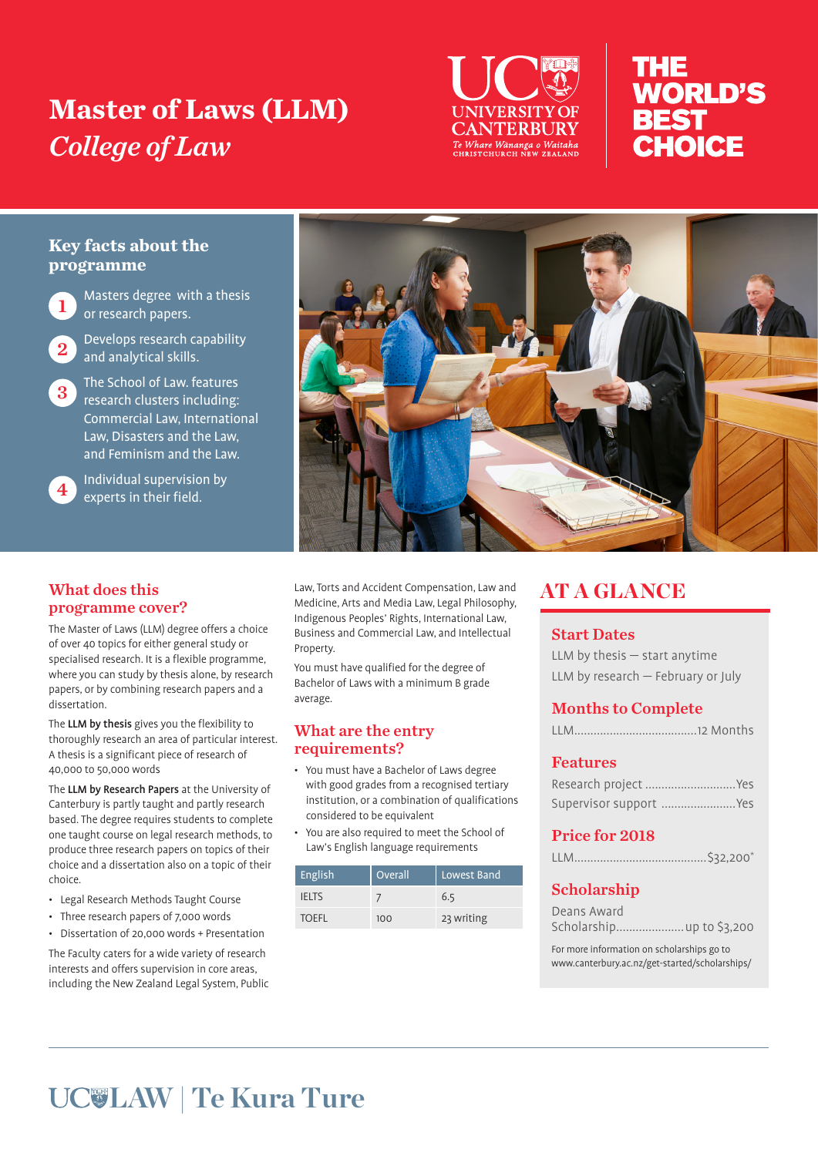# **Master of Laws (LLM)**  *College of Law*



# THE **WORLD'S BEST** CHOICE

## **Key facts about the programme**

Masters degree with a thesis or research papers.

Develops research capability and analytical skills.

 $3$  The School of Law. features research clusters including: Commercial Law, International Law, Disasters and the Law, and Feminism and the Law.

4 Individual supervision by experts in their field.



Law, Torts and Accident Compensation, Law and Medicine, Arts and Media Law, Legal Philosophy, Indigenous Peoples' Rights, International Law, Business and Commercial Law, and Intellectual Property.

You must have qualified for the degree of Bachelor of Laws with a minimum B grade average.

### What are the entry requirements?

- You must have a Bachelor of Laws degree with good grades from a recognised tertiary institution, or a combination of qualifications considered to be equivalent
- You are also required to meet the School of Law's English language requirements

| English      | <b>Overall</b> | Lowest Band |
|--------------|----------------|-------------|
| <b>IFITS</b> |                | 6.5         |
| <b>TOEFL</b> | 100            | 23 writing  |

# AT A GLANCE

### Start Dates

| LLM by thesis $-$ start anytime      |  |
|--------------------------------------|--|
| LLM by research $-$ February or July |  |

# Months to Complete

### Features

| Research project  Yes  |  |
|------------------------|--|
| Supervisor support Yes |  |

## Price for 2018

|--|

# Scholarship

| Deans Award               |  |
|---------------------------|--|
| Scholarship up to \$3,200 |  |

For more information on scholarships go to www.canterbury.ac.nz/get-started/scholarships/

# What does this programme cover?

The Master of Laws (LLM) degree offers a choice of over 40 topics for either general study or specialised research. It is a flexible programme, where you can study by thesis alone, by research papers, or by combining research papers and a dissertation.

The LLM by thesis gives you the flexibility to thoroughly research an area of particular interest. A thesis is a significant piece of research of 40,000 to 50,000 words

The LLM by Research Papers at the University of Canterbury is partly taught and partly research based. The degree requires students to complete one taught course on legal research methods, to produce three research papers on topics of their choice and a dissertation also on a topic of their choice.

- Legal Research Methods Taught Course
- Three research papers of 7,000 words

• Dissertation of 20,000 words + Presentation The Faculty caters for a wide variety of research interests and offers supervision in core areas, including the New Zealand Legal System, Public